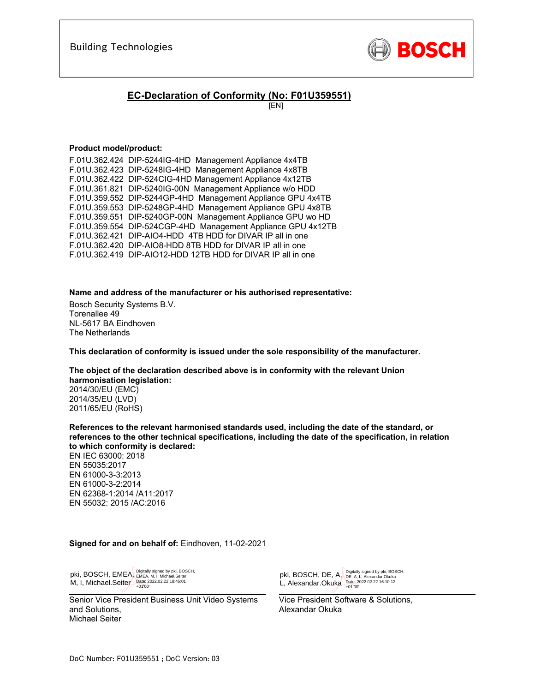

## **EC-Declaration of Conformity (No: F01U359551)**

[EN]

#### **Product model/product:**

| F.01U.362.424 DIP-5244IG-4HD Management Appliance 4x4TB      |
|--------------------------------------------------------------|
| F.01U.362.423 DIP-5248IG-4HD Management Appliance 4x8TB      |
| F.01U.362.422 DIP-524CIG-4HD Management Appliance 4x12TB     |
| F.01U.361.821 DIP-5240IG-00N Management Appliance w/o HDD    |
| F.01U.359.552 DIP-5244GP-4HD Management Appliance GPU 4x4TB  |
| F.01U.359.553 DIP-5248GP-4HD Management Appliance GPU 4x8TB  |
| F.01U.359.551 DIP-5240GP-00N Management Appliance GPU wo HD  |
| F.01U.359.554 DIP-524CGP-4HD Management Appliance GPU 4x12TB |
| F.01U.362.421 DIP-AIO4-HDD 4TB HDD for DIVAR IP all in one   |
| F.01U.362.420 DIP-AIO8-HDD 8TB HDD for DIVAR IP all in one   |
| F.01U.362.419 DIP-AIO12-HDD 12TB HDD for DIVAR IP all in one |
|                                                              |

**Name and address of the manufacturer or his authorised representative:**

Bosch Security Systems B.V. Torenallee 49 NL-5617 BA Eindhoven The Netherlands

**This declaration of conformity is issued under the sole responsibility of the manufacturer.** 

**The object of the declaration described above is in conformity with the relevant Union harmonisation legislation:**

2014/30/EU (EMC) 2014/35/EU (LVD) 2011/65/EU (RoHS)

**References to the relevant harmonised standards used, including the date of the standard, or references to the other technical specifications, including the date of the specification, in relation to which conformity is declared:** 

EN IEC 63000: 2018 EN 55035:2017 EN 61000-3-3:2013 EN 61000-3-2:2014 EN 62368-1:2014 /A11:2017 EN 55032: 2015 /AC:2016

#### **Signed for and on behalf of:** Eindhoven, 11-02-2021

 $\overline{a}$   $\overline{b}$   $\overline{c}$   $\overline{c}$   $\overline{c}$   $\overline{c}$   $\overline{c}$   $\overline{c}$   $\overline{c}$   $\overline{c}$   $\overline{c}$   $\overline{c}$   $\overline{c}$   $\overline{c}$   $\overline{c}$   $\overline{c}$   $\overline{c}$   $\overline{c}$   $\overline{c}$   $\overline{c}$   $\overline{c}$   $\overline{c}$   $\overline{c}$   $\overline{c}$   $\overline{$ pki, BOSCH, EMEA, M, I, Michael.Seiter Digitally signed by pki, BOSCH, EMEA, M, I, Michael.Seiter Date: 2022.02.22 18:46:01 +01'00'

Senior Vice President Business Unit Video Systems and Solutions, Michael Seiter

 $\bigcup$  +0100 pki, BOSCH, DE, A, L, Alexandar.Okuka Digitally signed by pki, BOSCH,<br>DE, A, L, Alexandar.Okuka<br>Date: 2022.02.22 16:10:12<br>+01'00'

Vice President Software & Solutions, Alexandar Okuka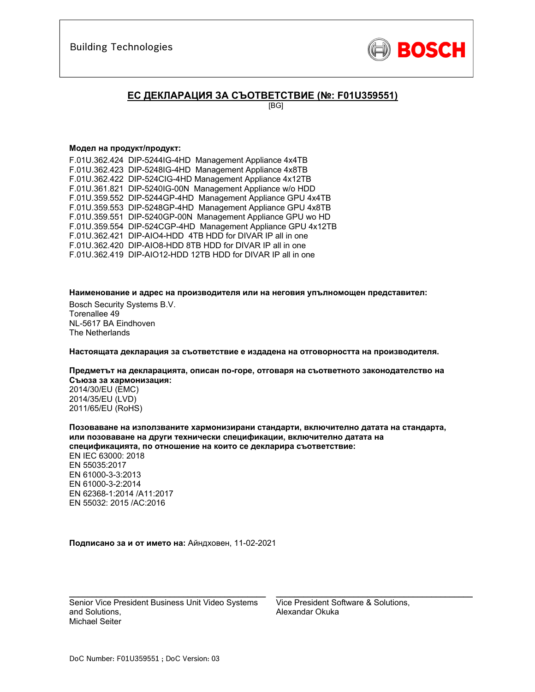

## **ЕС ДЕКЛАРАЦИЯ ЗА СЪОТВЕТСТВИЕ (№: F01U359551)**

[BG]

#### **Модел на продукт/продукт:**

F.01U.362.424 DIP-5244IG-4HD Management Appliance 4x4TB F.01U.362.423 DIP-5248IG-4HD Management Appliance 4x8TB F.01U.362.422 DIP-524CIG-4HD Management Appliance 4x12TB F.01U.361.821 DIP-5240IG-00N Management Appliance w/o HDD F.01U.359.552 DIP-5244GP-4HD Management Appliance GPU 4x4TB F.01U.359.553 DIP-5248GP-4HD Management Appliance GPU 4x8TB F.01U.359.551 DIP-5240GP-00N Management Appliance GPU wo HD F.01U.359.554 DIP-524CGP-4HD Management Appliance GPU 4x12TB F.01U.362.421 DIP-AIO4-HDD 4TB HDD for DIVAR IP all in one F.01U.362.420 DIP-AIO8-HDD 8TB HDD for DIVAR IP all in one F.01U.362.419 DIP-AIO12-HDD 12TB HDD for DIVAR IP all in one

**Наименование и адрес на производителя или на неговия упълномощен представител:** 

Bosch Security Systems B.V. Torenallee 49 NL-5617 BA Eindhoven The Netherlands

**Настоящата декларация за съответствие е издадена на отговорността на производителя.** 

**Предметът на декларацията, описан по-горе, отговаря на съответното законодателство на Съюза за хармонизация:**

2014/30/EU (EMC) 2014/35/EU (LVD) 2011/65/EU (RoHS)

**Позоваване на използваните хармонизирани стандарти, включително датата на стандарта, или позоваване на други технически спецификации, включително датата на спецификацията, по отношение на които се декларира съответствие:**  EN IEC 63000: 2018 EN 55035:2017 EN 61000-3-3:2013 EN 61000-3-2:2014 EN 62368-1:2014 /A11:2017 EN 55032: 2015 /AC:2016

**Подписано за и от името на:** Айндховен, 11-02-2021

Senior Vice President Business Unit Video Systems and Solutions, Michael Seiter

 $\mathcal{L}_\text{max}$  and  $\mathcal{L}_\text{max}$  and  $\mathcal{L}_\text{max}$  and  $\mathcal{L}_\text{max}$  and  $\mathcal{L}_\text{max}$ 

Vice President Software & Solutions, Alexandar Okuka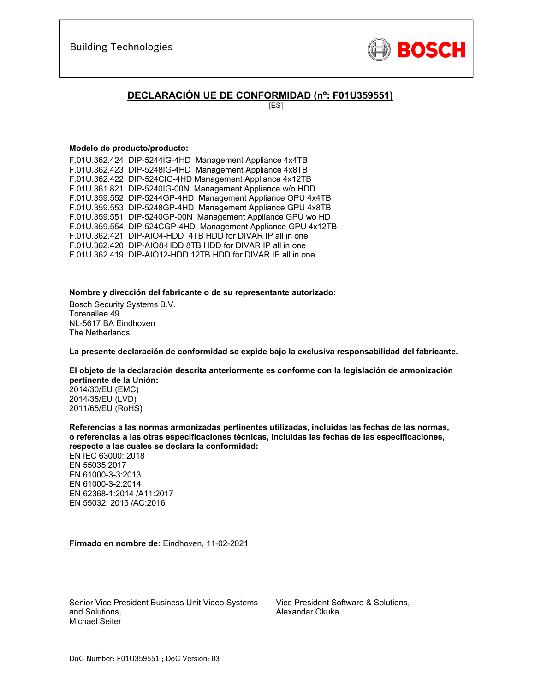

## **DECLARACIÓN UE DE CONFORMIDAD (nº: F01U359551)**

[ES]

#### **Modelo de producto/producto:**

F.01U.362.424 DIP-5244IG-4HD Management Appliance 4x4TB F.01U.362.423 DIP-5248IG-4HD Management Appliance 4x8TB F.01U.362.422 DIP-524CIG-4HD Management Appliance 4x12TB F.01U.361.821 DIP-5240IG-00N Management Appliance w/o HDD F.01U.359.552 DIP-5244GP-4HD Management Appliance GPU 4x4TB F.01U.359.553 DIP-5248GP-4HD Management Appliance GPU 4x8TB F.01U.359.551 DIP-5240GP-00N Management Appliance GPU wo HD F.01U.359.554 DIP-524CGP-4HD Management Appliance GPU 4x12TB F.01U.362.421 DIP-AIO4-HDD 4TB HDD for DIVAR IP all in one F.01U.362.420 DIP-AIO8-HDD 8TB HDD for DIVAR IP all in one F.01U.362.419 DIP-AIO12-HDD 12TB HDD for DIVAR IP all in one

**Nombre y dirección del fabricante o de su representante autorizado:** 

Bosch Security Systems B.V. Torenallee 49 NL-5617 BA Eindhoven The Netherlands

**La presente declaración de conformidad se expide bajo la exclusiva responsabilidad del fabricante.** 

**El objeto de la declaración descrita anteriormente es conforme con la legislación de armonización pertinente de la Unión:**

2014/30/EU (EMC) 2014/35/EU (LVD) 2011/65/EU (RoHS)

**Referencias a las normas armonizadas pertinentes utilizadas, incluidas las fechas de las normas, o referencias a las otras especificaciones técnicas, incluidas las fechas de las especificaciones, respecto a las cuales se declara la conformidad:**  EN IEC 63000: 2018 EN 55035:2017 EN 61000-3-3:2013 EN 61000-3-2:2014 EN 62368-1:2014 /A11:2017 EN 55032: 2015 /AC:2016

**Firmado en nombre de:** Eindhoven, 11-02-2021

Senior Vice President Business Unit Video Systems and Solutions, Michael Seiter

 $\mathcal{L}_\text{max}$  and  $\mathcal{L}_\text{max}$  and  $\mathcal{L}_\text{max}$  and  $\mathcal{L}_\text{max}$  and  $\mathcal{L}_\text{max}$ 

Vice President Software & Solutions, Alexandar Okuka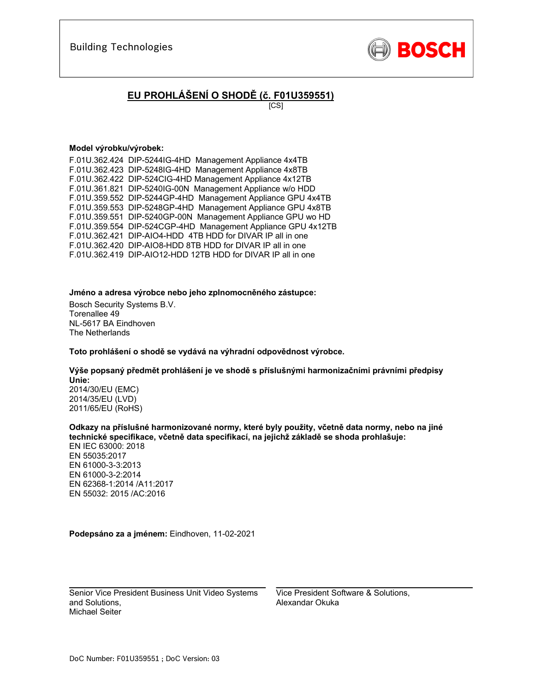

# **EU PROHLÁŠENÍ O SHODĚ (č. F01U359551)**

[CS]

#### **Model výrobku/výrobek:**

F.01U.362.424 DIP-5244IG-4HD Management Appliance 4x4TB F.01U.362.423 DIP-5248IG-4HD Management Appliance 4x8TB F.01U.362.422 DIP-524CIG-4HD Management Appliance 4x12TB F.01U.361.821 DIP-5240IG-00N Management Appliance w/o HDD F.01U.359.552 DIP-5244GP-4HD Management Appliance GPU 4x4TB F.01U.359.553 DIP-5248GP-4HD Management Appliance GPU 4x8TB F.01U.359.551 DIP-5240GP-00N Management Appliance GPU wo HD F.01U.359.554 DIP-524CGP-4HD Management Appliance GPU 4x12TB F.01U.362.421 DIP-AIO4-HDD 4TB HDD for DIVAR IP all in one F.01U.362.420 DIP-AIO8-HDD 8TB HDD for DIVAR IP all in one F.01U.362.419 DIP-AIO12-HDD 12TB HDD for DIVAR IP all in one

**Jméno a adresa výrobce nebo jeho zplnomocněného zástupce:** 

Bosch Security Systems B.V. Torenallee 49 NL-5617 BA Eindhoven The Netherlands

**Toto prohlášení o shodě se vydává na výhradní odpovědnost výrobce.** 

**Výše popsaný předmět prohlášení je ve shodě s příslušnými harmonizačními právními předpisy Unie:** 2014/30/EU (EMC) 2014/35/EU (LVD)

2011/65/EU (RoHS)

**Odkazy na příslušné harmonizované normy, které byly použity, včetně data normy, nebo na jiné technické specifikace, včetně data specifikací, na jejichž základě se shoda prohlašuje:** 

EN IEC 63000: 2018 EN 55035:2017 EN 61000-3-3:2013 EN 61000-3-2:2014 EN 62368-1:2014 /A11:2017 EN 55032: 2015 /AC:2016

**Podepsáno za a jménem:** Eindhoven, 11-02-2021

\_\_\_\_\_\_\_\_\_\_\_\_\_\_\_\_\_\_\_\_\_\_\_\_\_\_\_\_\_\_\_\_\_\_\_\_\_\_\_\_\_\_\_ Senior Vice President Business Unit Video Systems and Solutions, Michael Seiter

Vice President Software & Solutions, Alexandar Okuka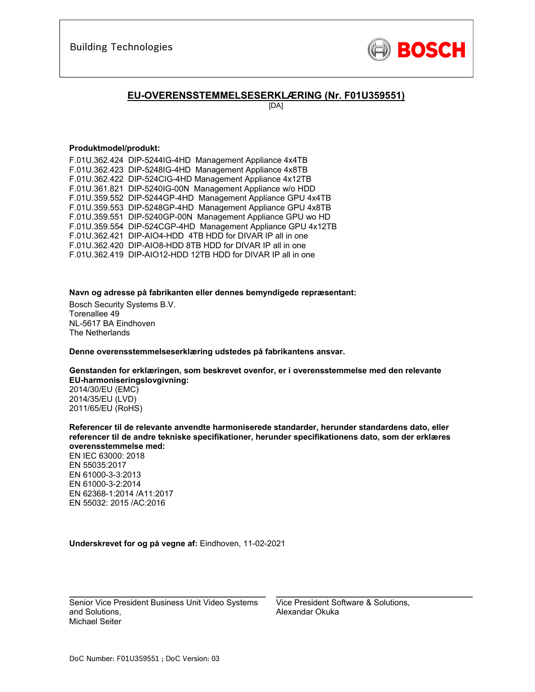

### **EU-OVERENSSTEMMELSESERKLÆRING (Nr. F01U359551)**

[DA]

#### **Produktmodel/produkt:**

F.01U.362.424 DIP-5244IG-4HD Management Appliance 4x4TB F.01U.362.423 DIP-5248IG-4HD Management Appliance 4x8TB F.01U.362.422 DIP-524CIG-4HD Management Appliance 4x12TB F.01U.361.821 DIP-5240IG-00N Management Appliance w/o HDD F.01U.359.552 DIP-5244GP-4HD Management Appliance GPU 4x4TB F.01U.359.553 DIP-5248GP-4HD Management Appliance GPU 4x8TB F.01U.359.551 DIP-5240GP-00N Management Appliance GPU wo HD F.01U.359.554 DIP-524CGP-4HD Management Appliance GPU 4x12TB F.01U.362.421 DIP-AIO4-HDD 4TB HDD for DIVAR IP all in one F.01U.362.420 DIP-AIO8-HDD 8TB HDD for DIVAR IP all in one F.01U.362.419 DIP-AIO12-HDD 12TB HDD for DIVAR IP all in one

**Navn og adresse på fabrikanten eller dennes bemyndigede repræsentant:** 

Bosch Security Systems B.V. Torenallee 49 NL-5617 BA Eindhoven The Netherlands

**Denne overensstemmelseserklæring udstedes på fabrikantens ansvar.** 

**Genstanden for erklæringen, som beskrevet ovenfor, er i overensstemmelse med den relevante EU-harmoniseringslovgivning:**

2014/30/EU (EMC) 2014/35/EU (LVD) 2011/65/EU (RoHS)

**Referencer til de relevante anvendte harmoniserede standarder, herunder standardens dato, eller referencer til de andre tekniske specifikationer, herunder specifikationens dato, som der erklæres overensstemmelse med:** 

EN IEC 63000: 2018 EN 55035:2017 EN 61000-3-3:2013 EN 61000-3-2:2014 EN 62368-1:2014 /A11:2017 EN 55032: 2015 /AC:2016

**Underskrevet for og på vegne af:** Eindhoven, 11-02-2021

Senior Vice President Business Unit Video Systems and Solutions, Michael Seiter

\_\_\_\_\_\_\_\_\_\_\_\_\_\_\_\_\_\_\_\_\_\_\_\_\_\_\_\_\_\_\_\_\_\_\_\_\_\_\_\_\_\_\_

Vice President Software & Solutions, Alexandar Okuka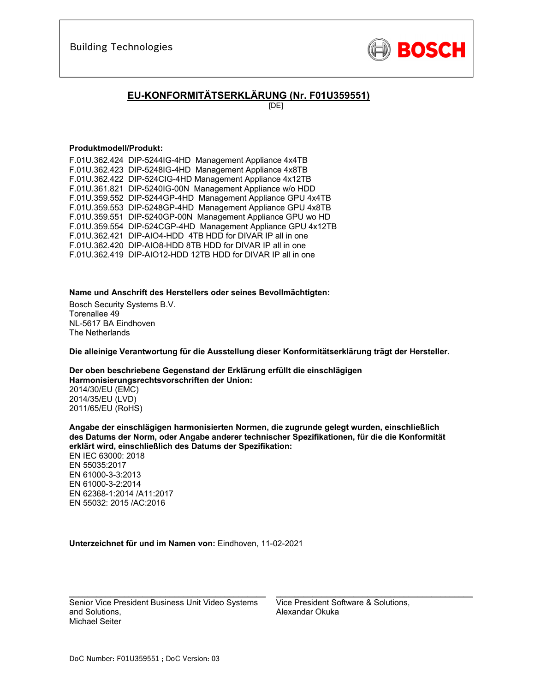

## **EU-KONFORMITÄTSERKLÄRUNG (Nr. F01U359551)**

[DE]

#### **Produktmodell/Produkt:**

F.01U.362.424 DIP-5244IG-4HD Management Appliance 4x4TB F.01U.362.423 DIP-5248IG-4HD Management Appliance 4x8TB F.01U.362.422 DIP-524CIG-4HD Management Appliance 4x12TB F.01U.361.821 DIP-5240IG-00N Management Appliance w/o HDD F.01U.359.552 DIP-5244GP-4HD Management Appliance GPU 4x4TB F.01U.359.553 DIP-5248GP-4HD Management Appliance GPU 4x8TB F.01U.359.551 DIP-5240GP-00N Management Appliance GPU wo HD F.01U.359.554 DIP-524CGP-4HD Management Appliance GPU 4x12TB F.01U.362.421 DIP-AIO4-HDD 4TB HDD for DIVAR IP all in one F.01U.362.420 DIP-AIO8-HDD 8TB HDD for DIVAR IP all in one F.01U.362.419 DIP-AIO12-HDD 12TB HDD for DIVAR IP all in one

**Name und Anschrift des Herstellers oder seines Bevollmächtigten:** 

Bosch Security Systems B.V. Torenallee 49 NL-5617 BA Eindhoven The Netherlands

**Die alleinige Verantwortung für die Ausstellung dieser Konformitätserklärung trägt der Hersteller.** 

**Der oben beschriebene Gegenstand der Erklärung erfüllt die einschlägigen Harmonisierungsrechtsvorschriften der Union:**

2014/30/EU (EMC) 2014/35/EU (LVD) 2011/65/EU (RoHS)

**Angabe der einschlägigen harmonisierten Normen, die zugrunde gelegt wurden, einschließlich des Datums der Norm, oder Angabe anderer technischer Spezifikationen, für die die Konformität erklärt wird, einschließlich des Datums der Spezifikation:**  EN IEC 63000: 2018

EN 55035:2017 EN 61000-3-3:2013 EN 61000-3-2:2014 EN 62368-1:2014 /A11:2017 EN 55032: 2015 /AC:2016

**Unterzeichnet für und im Namen von:** Eindhoven, 11-02-2021

Senior Vice President Business Unit Video Systems and Solutions, Michael Seiter

 $\mathcal{L}_\text{max}$  and  $\mathcal{L}_\text{max}$  and  $\mathcal{L}_\text{max}$  and  $\mathcal{L}_\text{max}$  and  $\mathcal{L}_\text{max}$ 

Vice President Software & Solutions, Alexandar Okuka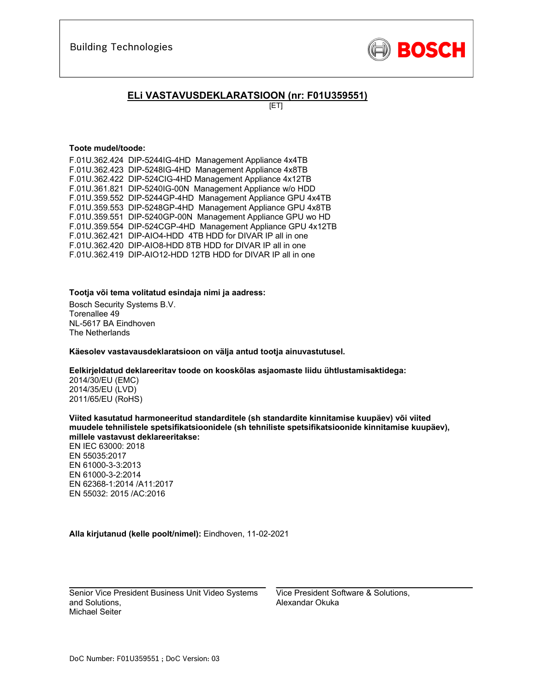

## **ELi VASTAVUSDEKLARATSIOON (nr: F01U359551)**

[ET]

#### **Toote mudel/toode:**

| F.01U.362.424 DIP-5244IG-4HD Management Appliance 4x4TB      |
|--------------------------------------------------------------|
| F.01U.362.423 DIP-5248IG-4HD Management Appliance 4x8TB      |
| F.01U.362.422 DIP-524CIG-4HD Management Appliance 4x12TB     |
| F.01U.361.821 DIP-5240IG-00N Management Appliance w/o HDD    |
| F.01U.359.552 DIP-5244GP-4HD Management Appliance GPU 4x4TB  |
| F.01U.359.553 DIP-5248GP-4HD Management Appliance GPU 4x8TB  |
| F.01U.359.551 DIP-5240GP-00N Management Appliance GPU wo HD  |
| F.01U.359.554 DIP-524CGP-4HD Management Appliance GPU 4x12TB |
| F.01U.362.421 DIP-AIO4-HDD 4TB HDD for DIVAR IP all in one   |
| F.01U.362.420 DIP-AIO8-HDD 8TB HDD for DIVAR IP all in one   |
| F.01U.362.419 DIP-AIO12-HDD 12TB HDD for DIVAR IP all in one |
|                                                              |

#### **Tootja või tema volitatud esindaja nimi ja aadress:**

Bosch Security Systems B.V. Torenallee 49 NL-5617 BA Eindhoven The Netherlands

#### **Käesolev vastavausdeklaratsioon on välja antud tootja ainuvastutusel.**

#### **Eelkirjeldatud deklareeritav toode on kooskõlas asjaomaste liidu ühtlustamisaktidega:**

2014/30/EU (EMC) 2014/35/EU (LVD) 2011/65/EU (RoHS)

**Viited kasutatud harmoneeritud standarditele (sh standardite kinnitamise kuupäev) või viited muudele tehnilistele spetsifikatsioonidele (sh tehniliste spetsifikatsioonide kinnitamise kuupäev), millele vastavust deklareeritakse:** 

EN IEC 63000: 2018 EN 55035:2017 EN 61000-3-3:2013 EN 61000-3-2:2014 EN 62368-1:2014 /A11:2017 EN 55032: 2015 /AC:2016

**Alla kirjutanud (kelle poolt/nimel):** Eindhoven, 11-02-2021

 $\mathcal{L}_\text{max}$  and  $\mathcal{L}_\text{max}$  and  $\mathcal{L}_\text{max}$  and  $\mathcal{L}_\text{max}$ Senior Vice President Business Unit Video Systems and Solutions, Michael Seiter

Vice President Software & Solutions, Alexandar Okuka

 $\mathcal{L}_\text{max}$  and  $\mathcal{L}_\text{max}$  and  $\mathcal{L}_\text{max}$  and  $\mathcal{L}_\text{max}$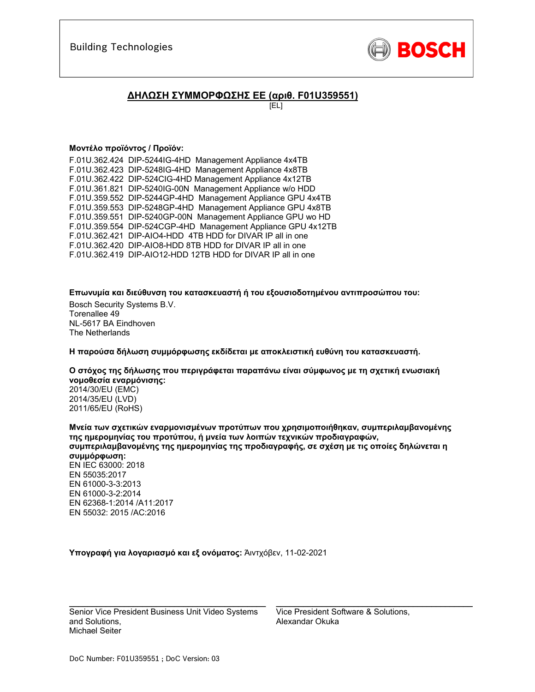

### **ΔΗΛΩΣΗ ΣΥΜΜΟΡΦΩΣΗΣ ΕΕ (αριθ. F01U359551)**

[EL]

#### **Μοντέλο προϊόντος / Προϊόν:**

F.01U.362.424 DIP-5244IG-4HD Management Appliance 4x4TB F.01U.362.423 DIP-5248IG-4HD Management Appliance 4x8TB F.01U.362.422 DIP-524CIG-4HD Management Appliance 4x12TB F.01U.361.821 DIP-5240IG-00N Management Appliance w/o HDD F.01U.359.552 DIP-5244GP-4HD Management Appliance GPU 4x4TB F.01U.359.553 DIP-5248GP-4HD Management Appliance GPU 4x8TB F.01U.359.551 DIP-5240GP-00N Management Appliance GPU wo HD F.01U.359.554 DIP-524CGP-4HD Management Appliance GPU 4x12TB F.01U.362.421 DIP-AIO4-HDD 4TB HDD for DIVAR IP all in one F.01U.362.420 DIP-AIO8-HDD 8TB HDD for DIVAR IP all in one F.01U.362.419 DIP-AIO12-HDD 12TB HDD for DIVAR IP all in one

**Επωνυμία και διεύθυνση του κατασκευαστή ή του εξουσιοδοτημένου αντιπροσώπου του:** 

Bosch Security Systems B.V. Torenallee 49 NL-5617 BA Eindhoven The Netherlands

**Η παρούσα δήλωση συμμόρφωσης εκδίδεται με αποκλειστική ευθύνη του κατασκευαστή.** 

**Ο στόχος της δήλωσης που περιγράφεται παραπάνω είναι σύμφωνος με τη σχετική ενωσιακή νομοθεσία εναρμόνισης:**

2014/30/EU (EMC) 2014/35/EU (LVD) 2011/65/EU (RoHS)

**Μνεία των σχετικών εναρμονισμένων προτύπων που χρησιμοποιήθηκαν, συμπεριλαμβανομένης της ημερομηνίας του προτύπου, ή μνεία των λοιπών τεχνικών προδιαγραφών, συμπεριλαμβανομένης της ημερομηνίας της προδιαγραφής, σε σχέση με τις οποίες δηλώνεται η συμμόρφωση:**  EN IEC 63000: 2018 EN 55035:2017 EN 61000-3-3:2013

EN 61000-3-2:2014 EN 62368-1:2014 /A11:2017 EN 55032: 2015 /AC:2016

**Υπογραφή για λογαριασμό και εξ ονόματος:** Άιντχόβεν, 11-02-2021

Senior Vice President Business Unit Video Systems and Solutions, Michael Seiter

 $\mathcal{L}_\text{max}$  and  $\mathcal{L}_\text{max}$  and  $\mathcal{L}_\text{max}$  and  $\mathcal{L}_\text{max}$  and  $\mathcal{L}_\text{max}$ 

Vice President Software & Solutions, Alexandar Okuka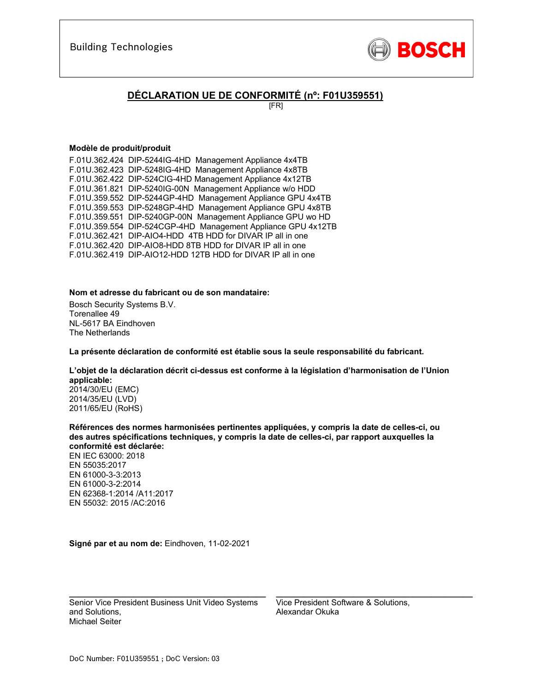

## **DÉCLARATION UE DE CONFORMITÉ (nº: F01U359551)**

[FR]

#### **Modèle de produit/produit**

F.01U.362.424 DIP-5244IG-4HD Management Appliance 4x4TB F.01U.362.423 DIP-5248IG-4HD Management Appliance 4x8TB F.01U.362.422 DIP-524CIG-4HD Management Appliance 4x12TB F.01U.361.821 DIP-5240IG-00N Management Appliance w/o HDD F.01U.359.552 DIP-5244GP-4HD Management Appliance GPU 4x4TB F.01U.359.553 DIP-5248GP-4HD Management Appliance GPU 4x8TB F.01U.359.551 DIP-5240GP-00N Management Appliance GPU wo HD F.01U.359.554 DIP-524CGP-4HD Management Appliance GPU 4x12TB F.01U.362.421 DIP-AIO4-HDD 4TB HDD for DIVAR IP all in one F.01U.362.420 DIP-AIO8-HDD 8TB HDD for DIVAR IP all in one F.01U.362.419 DIP-AIO12-HDD 12TB HDD for DIVAR IP all in one

#### **Nom et adresse du fabricant ou de son mandataire:**

Bosch Security Systems B.V. Torenallee 49 NL-5617 BA Eindhoven The Netherlands

**La présente déclaration de conformité est établie sous la seule responsabilité du fabricant.** 

### **L'objet de la déclaration décrit ci-dessus est conforme à la législation d'harmonisation de l'Union applicable:**

2014/30/EU (EMC) 2014/35/EU (LVD) 2011/65/EU (RoHS)

**Références des normes harmonisées pertinentes appliquées, y compris la date de celles-ci, ou des autres spécifications techniques, y compris la date de celles-ci, par rapport auxquelles la conformité est déclarée:** 

EN IEC 63000: 2018 EN 55035:2017 EN 61000-3-3:2013 EN 61000-3-2:2014 EN 62368-1:2014 /A11:2017 EN 55032: 2015 /AC:2016

**Signé par et au nom de:** Eindhoven, 11-02-2021

Senior Vice President Business Unit Video Systems and Solutions, Michael Seiter

 $\mathcal{L}_\text{max}$  and  $\mathcal{L}_\text{max}$  and  $\mathcal{L}_\text{max}$  and  $\mathcal{L}_\text{max}$  and  $\mathcal{L}_\text{max}$ 

Vice President Software & Solutions, Alexandar Okuka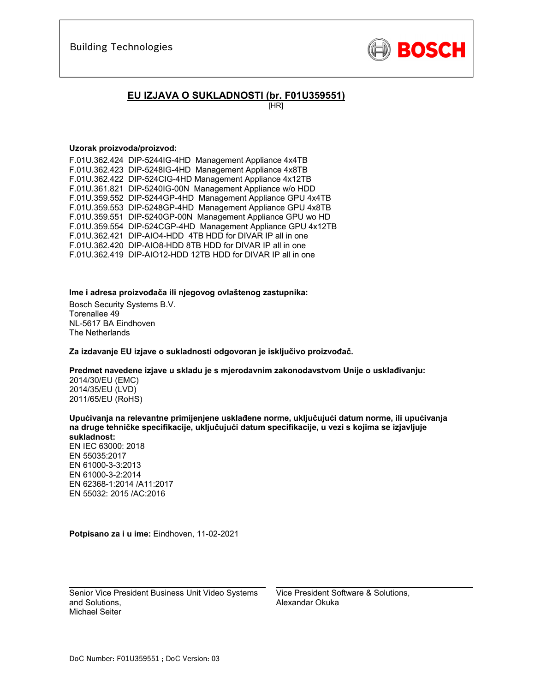

## **EU IZJAVA O SUKLADNOSTI (br. F01U359551)**

[HR]

#### **Uzorak proizvoda/proizvod:**

F.01U.362.424 DIP-5244IG-4HD Management Appliance 4x4TB F.01U.362.423 DIP-5248IG-4HD Management Appliance 4x8TB F.01U.362.422 DIP-524CIG-4HD Management Appliance 4x12TB F.01U.361.821 DIP-5240IG-00N Management Appliance w/o HDD F.01U.359.552 DIP-5244GP-4HD Management Appliance GPU 4x4TB F.01U.359.553 DIP-5248GP-4HD Management Appliance GPU 4x8TB F.01U.359.551 DIP-5240GP-00N Management Appliance GPU wo HD F.01U.359.554 DIP-524CGP-4HD Management Appliance GPU 4x12TB F.01U.362.421 DIP-AIO4-HDD 4TB HDD for DIVAR IP all in one F.01U.362.420 DIP-AIO8-HDD 8TB HDD for DIVAR IP all in one F.01U.362.419 DIP-AIO12-HDD 12TB HDD for DIVAR IP all in one

#### **Ime i adresa proizvođača ili njegovog ovlaštenog zastupnika:**

Bosch Security Systems B.V. Torenallee 49 NL-5617 BA Eindhoven The Netherlands

**Za izdavanje EU izjave o sukladnosti odgovoran je isključivo proizvođač.** 

#### **Predmet navedene izjave u skladu je s mjerodavnim zakonodavstvom Unije o usklađivanju:**

2014/30/EU (EMC) 2014/35/EU (LVD) 2011/65/EU (RoHS)

**Upućivanja na relevantne primijenjene usklađene norme, uključujući datum norme, ili upućivanja na druge tehničke specifikacije, uključujući datum specifikacije, u vezi s kojima se izjavljuje sukladnost:** 

EN IEC 63000: 2018 EN 55035:2017 EN 61000-3-3:2013 EN 61000-3-2:2014 EN 62368-1:2014 /A11:2017 EN 55032: 2015 /AC:2016

**Potpisano za i u ime:** Eindhoven, 11-02-2021

\_\_\_\_\_\_\_\_\_\_\_\_\_\_\_\_\_\_\_\_\_\_\_\_\_\_\_\_\_\_\_\_\_\_\_\_\_\_\_\_\_\_\_ Senior Vice President Business Unit Video Systems and Solutions, Michael Seiter

Vice President Software & Solutions, Alexandar Okuka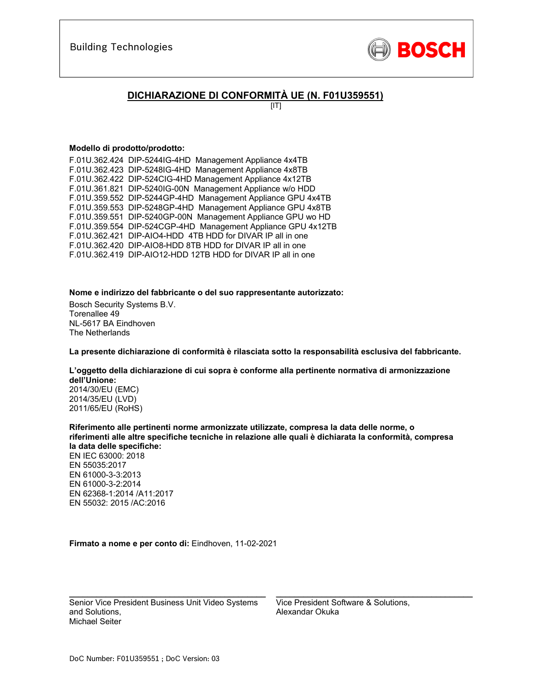

## **DICHIARAZIONE DI CONFORMITÀ UE (N. F01U359551)**

 $[|T|]$ 

#### **Modello di prodotto/prodotto:**

F.01U.362.424 DIP-5244IG-4HD Management Appliance 4x4TB F.01U.362.423 DIP-5248IG-4HD Management Appliance 4x8TB F.01U.362.422 DIP-524CIG-4HD Management Appliance 4x12TB F.01U.361.821 DIP-5240IG-00N Management Appliance w/o HDD F.01U.359.552 DIP-5244GP-4HD Management Appliance GPU 4x4TB F.01U.359.553 DIP-5248GP-4HD Management Appliance GPU 4x8TB F.01U.359.551 DIP-5240GP-00N Management Appliance GPU wo HD F.01U.359.554 DIP-524CGP-4HD Management Appliance GPU 4x12TB F.01U.362.421 DIP-AIO4-HDD 4TB HDD for DIVAR IP all in one F.01U.362.420 DIP-AIO8-HDD 8TB HDD for DIVAR IP all in one F.01U.362.419 DIP-AIO12-HDD 12TB HDD for DIVAR IP all in one

**Nome e indirizzo del fabbricante o del suo rappresentante autorizzato:** 

Bosch Security Systems B.V. Torenallee 49 NL-5617 BA Eindhoven The Netherlands

**La presente dichiarazione di conformità è rilasciata sotto la responsabilità esclusiva del fabbricante.** 

**L'oggetto della dichiarazione di cui sopra è conforme alla pertinente normativa di armonizzazione dell'Unione:**

2014/30/EU (EMC) 2014/35/EU (LVD) 2011/65/EU (RoHS)

**Riferimento alle pertinenti norme armonizzate utilizzate, compresa la data delle norme, o riferimenti alle altre specifiche tecniche in relazione alle quali è dichiarata la conformità, compresa la data delle specifiche:**  EN IEC 63000: 2018 EN 55035:2017 EN 61000-3-3:2013 EN 61000-3-2:2014 EN 62368-1:2014 /A11:2017 EN 55032: 2015 /AC:2016

**Firmato a nome e per conto di:** Eindhoven, 11-02-2021

Senior Vice President Business Unit Video Systems and Solutions, Michael Seiter

\_\_\_\_\_\_\_\_\_\_\_\_\_\_\_\_\_\_\_\_\_\_\_\_\_\_\_\_\_\_\_\_\_\_\_\_\_\_\_\_\_\_\_

Vice President Software & Solutions, Alexandar Okuka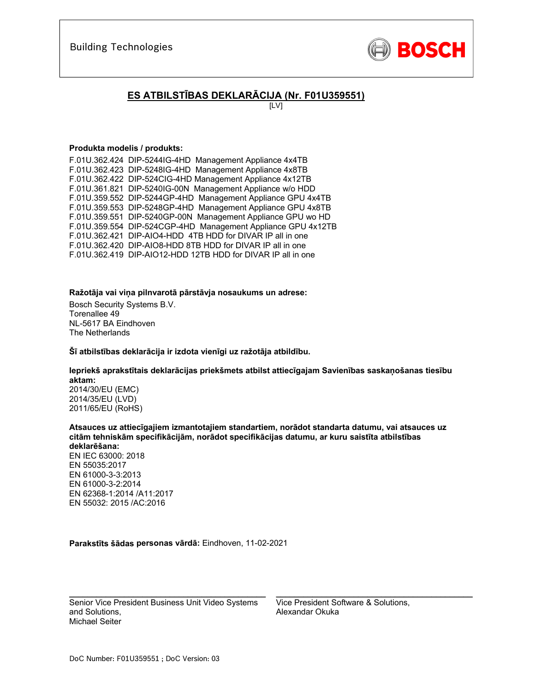

# **ES ATBILSTĪBAS DEKLARĀCIJA (Nr. F01U359551)**

[LV]

#### **Produkta modelis / produkts:**

F.01U.362.424 DIP-5244IG-4HD Management Appliance 4x4TB F.01U.362.423 DIP-5248IG-4HD Management Appliance 4x8TB F.01U.362.422 DIP-524CIG-4HD Management Appliance 4x12TB F.01U.361.821 DIP-5240IG-00N Management Appliance w/o HDD F.01U.359.552 DIP-5244GP-4HD Management Appliance GPU 4x4TB F.01U.359.553 DIP-5248GP-4HD Management Appliance GPU 4x8TB F.01U.359.551 DIP-5240GP-00N Management Appliance GPU wo HD F.01U.359.554 DIP-524CGP-4HD Management Appliance GPU 4x12TB F.01U.362.421 DIP-AIO4-HDD 4TB HDD for DIVAR IP all in one F.01U.362.420 DIP-AIO8-HDD 8TB HDD for DIVAR IP all in one F.01U.362.419 DIP-AIO12-HDD 12TB HDD for DIVAR IP all in one

#### **Ražotāja vai viņa pilnvarotā pārstāvja nosaukums un adrese:**

Bosch Security Systems B.V. Torenallee 49 NL-5617 BA Eindhoven The Netherlands

#### **Šī atbilstības deklarācija ir izdota vienīgi uz ražotāja atbildību.**

### **Iepriekš aprakstītais deklarācijas priekšmets atbilst attiecīgajam Savienības saskaņošanas tiesību aktam:**

2014/30/EU (EMC) 2014/35/EU (LVD) 2011/65/EU (RoHS)

**Atsauces uz attiecīgajiem izmantotajiem standartiem, norādot standarta datumu, vai atsauces uz citām tehniskām specifikācijām, norādot specifikācijas datumu, ar kuru saistīta atbilstības deklarēšana:** 

EN IEC 63000: 2018 EN 55035:2017 EN 61000-3-3:2013 EN 61000-3-2:2014 EN 62368-1:2014 /A11:2017 EN 55032: 2015 /AC:2016

**Parakstīts šādas personas vārdā:** Eindhoven, 11-02-2021

Senior Vice President Business Unit Video Systems and Solutions, Michael Seiter

\_\_\_\_\_\_\_\_\_\_\_\_\_\_\_\_\_\_\_\_\_\_\_\_\_\_\_\_\_\_\_\_\_\_\_\_\_\_\_\_\_\_\_

Vice President Software & Solutions, Alexandar Okuka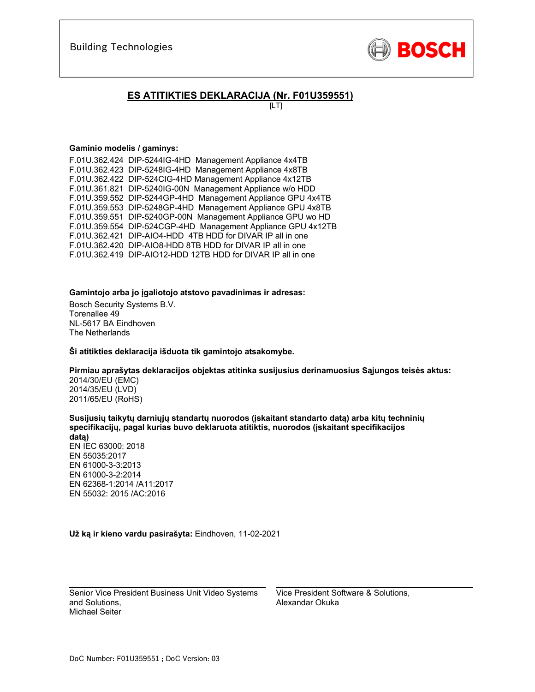

## **ES ATITIKTIES DEKLARACIJA (Nr. F01U359551)**

 $[LT]$ 

#### **Gaminio modelis / gaminys:**

F.01U.362.424 DIP-5244IG-4HD Management Appliance 4x4TB F.01U.362.423 DIP-5248IG-4HD Management Appliance 4x8TB F.01U.362.422 DIP-524CIG-4HD Management Appliance 4x12TB F.01U.361.821 DIP-5240IG-00N Management Appliance w/o HDD F.01U.359.552 DIP-5244GP-4HD Management Appliance GPU 4x4TB F.01U.359.553 DIP-5248GP-4HD Management Appliance GPU 4x8TB F.01U.359.551 DIP-5240GP-00N Management Appliance GPU wo HD F.01U.359.554 DIP-524CGP-4HD Management Appliance GPU 4x12TB F.01U.362.421 DIP-AIO4-HDD 4TB HDD for DIVAR IP all in one F.01U.362.420 DIP-AIO8-HDD 8TB HDD for DIVAR IP all in one F.01U.362.419 DIP-AIO12-HDD 12TB HDD for DIVAR IP all in one

#### **Gamintojo arba jo įgaliotojo atstovo pavadinimas ir adresas:**

Bosch Security Systems B.V. Torenallee 49 NL-5617 BA Eindhoven The Netherlands

**Ši atitikties deklaracija išduota tik gamintojo atsakomybe.** 

**Pirmiau aprašytas deklaracijos objektas atitinka susijusius derinamuosius Sąjungos teisės aktus:**

2014/30/EU (EMC) 2014/35/EU (LVD) 2011/65/EU (RoHS)

**Susijusių taikytų darniųjų standartų nuorodos (įskaitant standarto datą) arba kitų techninių specifikacijų, pagal kurias buvo deklaruota atitiktis, nuorodos (įskaitant specifikacijos datą)** 

EN IEC 63000: 2018 EN 55035:2017 EN 61000-3-3:2013 EN 61000-3-2:2014 EN 62368-1:2014 /A11:2017 EN 55032: 2015 /AC:2016

**Už ką ir kieno vardu pasirašyta:** Eindhoven, 11-02-2021

 $\mathcal{L}_\text{max}$  and  $\mathcal{L}_\text{max}$  and  $\mathcal{L}_\text{max}$  and  $\mathcal{L}_\text{max}$ Senior Vice President Business Unit Video Systems and Solutions, Michael Seiter

Vice President Software & Solutions, Alexandar Okuka

 $\mathcal{L}_\text{max}$  and  $\mathcal{L}_\text{max}$  and  $\mathcal{L}_\text{max}$  and  $\mathcal{L}_\text{max}$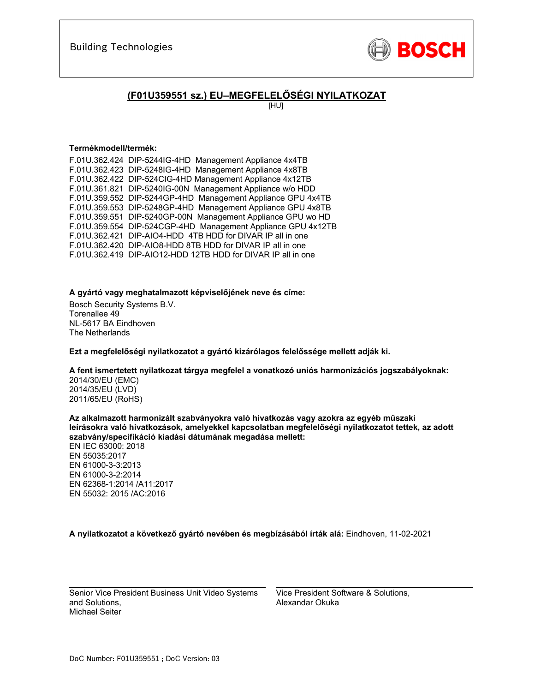

## **(F01U359551 sz.) EU–MEGFELELŐSÉGI NYILATKOZAT**

[HU]

#### **Termékmodell/termék:**

F.01U.362.424 DIP-5244IG-4HD Management Appliance 4x4TB F.01U.362.423 DIP-5248IG-4HD Management Appliance 4x8TB F.01U.362.422 DIP-524CIG-4HD Management Appliance 4x12TB F.01U.361.821 DIP-5240IG-00N Management Appliance w/o HDD F.01U.359.552 DIP-5244GP-4HD Management Appliance GPU 4x4TB F.01U.359.553 DIP-5248GP-4HD Management Appliance GPU 4x8TB F.01U.359.551 DIP-5240GP-00N Management Appliance GPU wo HD F.01U.359.554 DIP-524CGP-4HD Management Appliance GPU 4x12TB F.01U.362.421 DIP-AIO4-HDD 4TB HDD for DIVAR IP all in one F.01U.362.420 DIP-AIO8-HDD 8TB HDD for DIVAR IP all in one F.01U.362.419 DIP-AIO12-HDD 12TB HDD for DIVAR IP all in one

#### **A gyártó vagy meghatalmazott képviselőjének neve és címe:**

Bosch Security Systems B.V. Torenallee 49 NL-5617 BA Eindhoven The Netherlands

**Ezt a megfelelőségi nyilatkozatot a gyártó kizárólagos felelőssége mellett adják ki.** 

#### **A fent ismertetett nyilatkozat tárgya megfelel a vonatkozó uniós harmonizációs jogszabályoknak:**

2014/30/EU (EMC) 2014/35/EU (LVD) 2011/65/EU (RoHS)

**Az alkalmazott harmonizált szabványokra való hivatkozás vagy azokra az egyéb műszaki leírásokra való hivatkozások, amelyekkel kapcsolatban megfelelőségi nyilatkozatot tettek, az adott szabvány/specifikáció kiadási dátumának megadása mellett:** 

EN IEC 63000: 2018 EN 55035:2017 EN 61000-3-3:2013 EN 61000-3-2:2014 EN 62368-1:2014 /A11:2017 EN 55032: 2015 /AC:2016

**A nyilatkozatot a következő gyártó nevében és megbízásából írták alá:** Eindhoven, 11-02-2021

 $\mathcal{L}_\text{max}$  and  $\mathcal{L}_\text{max}$  and  $\mathcal{L}_\text{max}$  and  $\mathcal{L}_\text{max}$ Senior Vice President Business Unit Video Systems and Solutions, Michael Seiter

Vice President Software & Solutions, Alexandar Okuka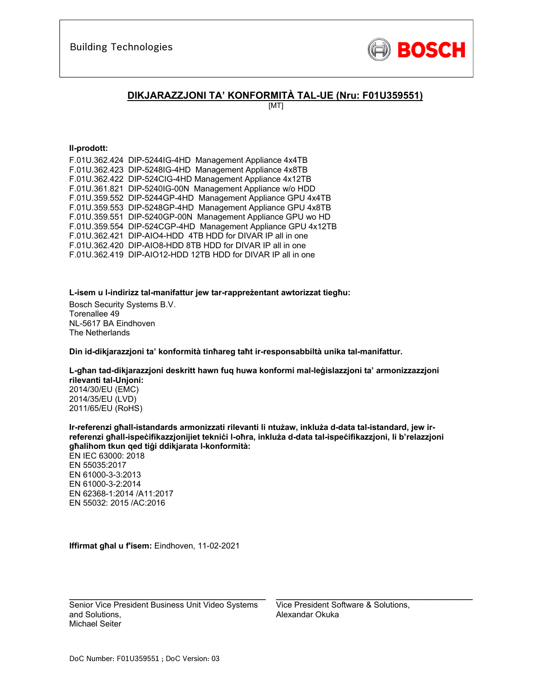

## **DIKJARAZZJONI TA' KONFORMITÀ TAL-UE (Nru: F01U359551)**

[MT]

#### **Il-prodott:**

| F.01U.362.424 DIP-5244IG-4HD Management Appliance 4x4TB      |
|--------------------------------------------------------------|
| F.01U.362.423 DIP-5248IG-4HD Management Appliance 4x8TB      |
| F.01U.362.422 DIP-524CIG-4HD Management Appliance 4x12TB     |
| F.01U.361.821 DIP-5240IG-00N Management Appliance w/o HDD    |
| F.01U.359.552 DIP-5244GP-4HD Management Appliance GPU 4x4TB  |
| F.01U.359.553 DIP-5248GP-4HD Management Appliance GPU 4x8TB  |
| F.01U.359.551 DIP-5240GP-00N Management Appliance GPU wo HD  |
| F.01U.359.554 DIP-524CGP-4HD Management Appliance GPU 4x12TB |
| F.01U.362.421 DIP-AIO4-HDD 4TB HDD for DIVAR IP all in one   |
| F.01U.362.420 DIP-AIO8-HDD 8TB HDD for DIVAR IP all in one   |
| F.01U.362.419 DIP-AIO12-HDD 12TB HDD for DIVAR IP all in one |
|                                                              |

**L-isem u l-indirizz tal-manifattur jew tar-rappreżentant awtorizzat tiegħu:** 

Bosch Security Systems B.V. Torenallee 49 NL-5617 BA Eindhoven The Netherlands

**Din id-dikjarazzjoni ta' konformità tinħareg taħt ir-responsabbiltà unika tal-manifattur.** 

**L-għan tad-dikjarazzjoni deskritt hawn fuq huwa konformi mal-leġislazzjoni ta' armonizzazzjoni rilevanti tal-Unjoni:**

2014/30/EU (EMC) 2014/35/EU (LVD) 2011/65/EU (RoHS)

**Ir-referenzi għall-istandards armonizzati rilevanti li ntużaw, inkluża d-data tal-istandard, jew irreferenzi għall-ispeċifikazzjonijiet tekniċi l-oħra, inkluża d-data tal-ispeċifikazzjoni, li b'relazzjoni għalihom tkun qed tiġi ddikjarata l-konformità:**  EN IEC 63000: 2018 EN 55035:2017 EN 61000-3-3:2013 EN 61000-3-2:2014 EN 62368-1:2014 /A11:2017 EN 55032: 2015 /AC:2016

**Iffirmat għal u f'isem:** Eindhoven, 11-02-2021

Senior Vice President Business Unit Video Systems and Solutions, Michael Seiter

\_\_\_\_\_\_\_\_\_\_\_\_\_\_\_\_\_\_\_\_\_\_\_\_\_\_\_\_\_\_\_\_\_\_\_\_\_\_\_\_\_\_\_

Vice President Software & Solutions, Alexandar Okuka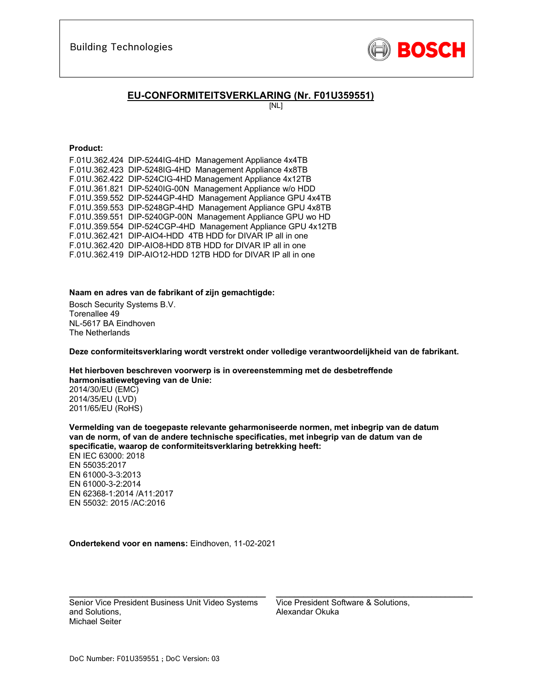

## **EU-CONFORMITEITSVERKLARING (Nr. F01U359551)**

[NL]

#### **Product:**

| F.01U.362.424 DIP-5244IG-4HD Management Appliance 4x4TB      |
|--------------------------------------------------------------|
| F.01U.362.423 DIP-5248IG-4HD Management Appliance 4x8TB      |
| F.01U.362.422 DIP-524CIG-4HD Management Appliance 4x12TB     |
| F.01U.361.821 DIP-5240IG-00N Management Appliance w/o HDD    |
| F.01U.359.552 DIP-5244GP-4HD Management Appliance GPU 4x4TB  |
| F.01U.359.553 DIP-5248GP-4HD Management Appliance GPU 4x8TB  |
| F.01U.359.551 DIP-5240GP-00N Management Appliance GPU wo HD  |
| F.01U.359.554 DIP-524CGP-4HD Management Appliance GPU 4x12TB |
| F.01U.362.421 DIP-AIO4-HDD 4TB HDD for DIVAR IP all in one   |
| F.01U.362.420 DIP-AIO8-HDD 8TB HDD for DIVAR IP all in one   |
| F.01U.362.419 DIP-AIO12-HDD 12TB HDD for DIVAR IP all in one |
|                                                              |

#### **Naam en adres van de fabrikant of zijn gemachtigde:**

Bosch Security Systems B.V. Torenallee 49 NL-5617 BA Eindhoven The Netherlands

**Deze conformiteitsverklaring wordt verstrekt onder volledige verantwoordelijkheid van de fabrikant.** 

**Het hierboven beschreven voorwerp is in overeenstemming met de desbetreffende harmonisatiewetgeving van de Unie:**

2014/30/EU (EMC) 2014/35/EU (LVD) 2011/65/EU (RoHS)

**Vermelding van de toegepaste relevante geharmoniseerde normen, met inbegrip van de datum van de norm, of van de andere technische specificaties, met inbegrip van de datum van de specificatie, waarop de conformiteitsverklaring betrekking heeft:**  EN IEC 63000: 2018 EN 55035:2017 EN 61000-3-3:2013 EN 61000-3-2:2014 EN 62368-1:2014 /A11:2017 EN 55032: 2015 /AC:2016

**Ondertekend voor en namens:** Eindhoven, 11-02-2021

Senior Vice President Business Unit Video Systems and Solutions, Michael Seiter

 $\mathcal{L}_\text{max}$  and  $\mathcal{L}_\text{max}$  and  $\mathcal{L}_\text{max}$  and  $\mathcal{L}_\text{max}$  and  $\mathcal{L}_\text{max}$ 

Vice President Software & Solutions, Alexandar Okuka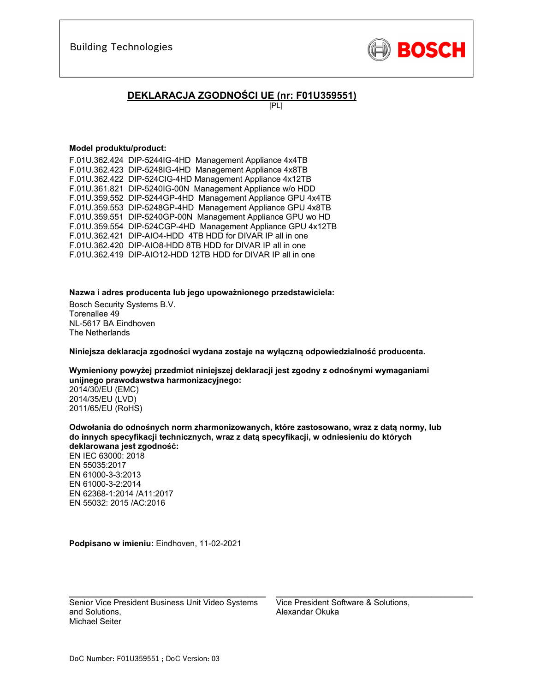

## **DEKLARACJA ZGODNOŚCI UE (nr: F01U359551)**

[PL]

#### **Model produktu/product:**

F.01U.362.424 DIP-5244IG-4HD Management Appliance 4x4TB F.01U.362.423 DIP-5248IG-4HD Management Appliance 4x8TB F.01U.362.422 DIP-524CIG-4HD Management Appliance 4x12TB F.01U.361.821 DIP-5240IG-00N Management Appliance w/o HDD F.01U.359.552 DIP-5244GP-4HD Management Appliance GPU 4x4TB F.01U.359.553 DIP-5248GP-4HD Management Appliance GPU 4x8TB F.01U.359.551 DIP-5240GP-00N Management Appliance GPU wo HD F.01U.359.554 DIP-524CGP-4HD Management Appliance GPU 4x12TB F.01U.362.421 DIP-AIO4-HDD 4TB HDD for DIVAR IP all in one F.01U.362.420 DIP-AIO8-HDD 8TB HDD for DIVAR IP all in one F.01U.362.419 DIP-AIO12-HDD 12TB HDD for DIVAR IP all in one

#### **Nazwa i adres producenta lub jego upoważnionego przedstawiciela:**

Bosch Security Systems B.V. Torenallee 49 NL-5617 BA Eindhoven The Netherlands

**Niniejsza deklaracja zgodności wydana zostaje na wyłączną odpowiedzialność producenta.** 

**Wymieniony powyżej przedmiot niniejszej deklaracji jest zgodny z odnośnymi wymaganiami unijnego prawodawstwa harmonizacyjnego:**

2014/30/EU (EMC) 2014/35/EU (LVD) 2011/65/EU (RoHS)

**Odwołania do odnośnych norm zharmonizowanych, które zastosowano, wraz z datą normy, lub do innych specyfikacji technicznych, wraz z datą specyfikacji, w odniesieniu do których deklarowana jest zgodność:**  EN IEC 63000: 2018 EN 55035:2017 EN 61000-3-3:2013 EN 61000-3-2:2014 EN 62368-1:2014 /A11:2017 EN 55032: 2015 /AC:2016

**Podpisano w imieniu:** Eindhoven, 11-02-2021

Senior Vice President Business Unit Video Systems and Solutions, Michael Seiter

\_\_\_\_\_\_\_\_\_\_\_\_\_\_\_\_\_\_\_\_\_\_\_\_\_\_\_\_\_\_\_\_\_\_\_\_\_\_\_\_\_\_\_

Vice President Software & Solutions, Alexandar Okuka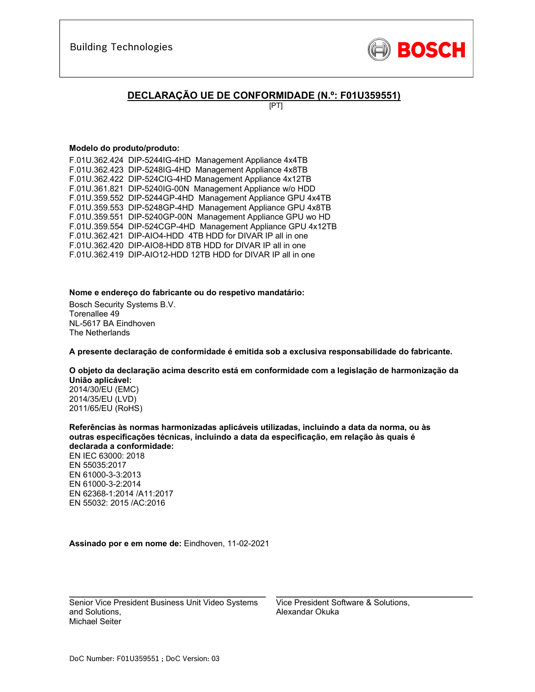

## **DECLARAÇÃO UE DE CONFORMIDADE (N.º: F01U359551)**

[PT]

#### **Modelo do produto/produto:**

F.01U.362.424 DIP-5244IG-4HD Management Appliance 4x4TB F.01U.362.423 DIP-5248IG-4HD Management Appliance 4x8TB F.01U.362.422 DIP-524CIG-4HD Management Appliance 4x12TB F.01U.361.821 DIP-5240IG-00N Management Appliance w/o HDD F.01U.359.552 DIP-5244GP-4HD Management Appliance GPU 4x4TB F.01U.359.553 DIP-5248GP-4HD Management Appliance GPU 4x8TB F.01U.359.551 DIP-5240GP-00N Management Appliance GPU wo HD F.01U.359.554 DIP-524CGP-4HD Management Appliance GPU 4x12TB F.01U.362.421 DIP-AIO4-HDD 4TB HDD for DIVAR IP all in one F.01U.362.420 DIP-AIO8-HDD 8TB HDD for DIVAR IP all in one F.01U.362.419 DIP-AIO12-HDD 12TB HDD for DIVAR IP all in one

#### **Nome e endereço do fabricante ou do respetivo mandatário:**

Bosch Security Systems B.V. Torenallee 49 NL-5617 BA Eindhoven The Netherlands

**A presente declaração de conformidade é emitida sob a exclusiva responsabilidade do fabricante.** 

### **O objeto da declaração acima descrito está em conformidade com a legislação de harmonização da União aplicável:**

2014/30/EU (EMC) 2014/35/EU (LVD) 2011/65/EU (RoHS)

**Referências às normas harmonizadas aplicáveis utilizadas, incluindo a data da norma, ou às outras especificações técnicas, incluindo a data da especificação, em relação às quais é declarada a conformidade:**  EN IEC 63000: 2018 EN 55035:2017 EN 61000-3-3:2013 EN 61000-3-2:2014 EN 62368-1:2014 /A11:2017 EN 55032: 2015 /AC:2016

**Assinado por e em nome de:** Eindhoven, 11-02-2021

Senior Vice President Business Unit Video Systems and Solutions, Michael Seiter

\_\_\_\_\_\_\_\_\_\_\_\_\_\_\_\_\_\_\_\_\_\_\_\_\_\_\_\_\_\_\_\_\_\_\_\_\_\_\_\_\_\_\_

Vice President Software & Solutions, Alexandar Okuka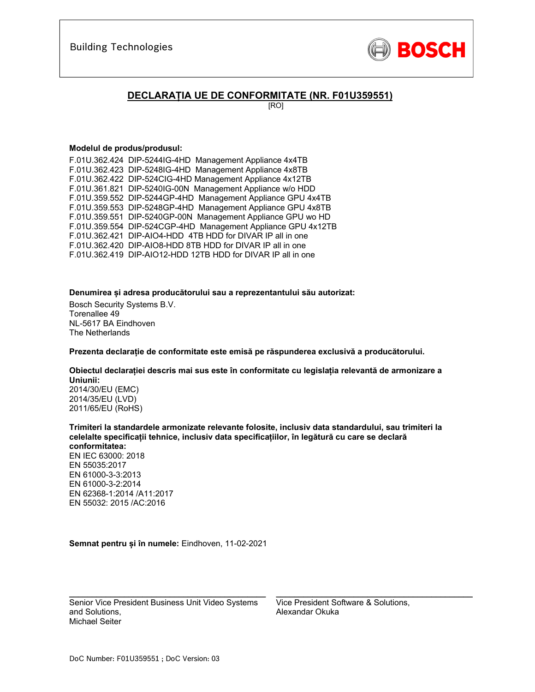

## **DECLARAȚIA UE DE CONFORMITATE (NR. F01U359551)**

[RO]

#### **Modelul de produs/produsul:**

F.01U.362.424 DIP-5244IG-4HD Management Appliance 4x4TB F.01U.362.423 DIP-5248IG-4HD Management Appliance 4x8TB F.01U.362.422 DIP-524CIG-4HD Management Appliance 4x12TB F.01U.361.821 DIP-5240IG-00N Management Appliance w/o HDD F.01U.359.552 DIP-5244GP-4HD Management Appliance GPU 4x4TB F.01U.359.553 DIP-5248GP-4HD Management Appliance GPU 4x8TB F.01U.359.551 DIP-5240GP-00N Management Appliance GPU wo HD F.01U.359.554 DIP-524CGP-4HD Management Appliance GPU 4x12TB F.01U.362.421 DIP-AIO4-HDD 4TB HDD for DIVAR IP all in one F.01U.362.420 DIP-AIO8-HDD 8TB HDD for DIVAR IP all in one F.01U.362.419 DIP-AIO12-HDD 12TB HDD for DIVAR IP all in one

**Denumirea și adresa producătorului sau a reprezentantului său autorizat:** 

Bosch Security Systems B.V. Torenallee 49 NL-5617 BA Eindhoven The Netherlands

**Prezenta declarație de conformitate este emisă pe răspunderea exclusivă a producătorului.** 

**Obiectul declarației descris mai sus este în conformitate cu legislația relevantă de armonizare a Uniunii:**

2014/30/EU (EMC) 2014/35/EU (LVD) 2011/65/EU (RoHS)

**Trimiteri la standardele armonizate relevante folosite, inclusiv data standardului, sau trimiteri la celelalte specificații tehnice, inclusiv data specificațiilor, în legătură cu care se declară conformitatea:** 

EN IEC 63000: 2018 EN 55035:2017 EN 61000-3-3:2013 EN 61000-3-2:2014 EN 62368-1:2014 /A11:2017 EN 55032: 2015 /AC:2016

**Semnat pentru și în numele:** Eindhoven, 11-02-2021

Senior Vice President Business Unit Video Systems and Solutions, Michael Seiter

 $\mathcal{L}_\text{max}$  and  $\mathcal{L}_\text{max}$  and  $\mathcal{L}_\text{max}$  and  $\mathcal{L}_\text{max}$  and  $\mathcal{L}_\text{max}$ 

Vice President Software & Solutions, Alexandar Okuka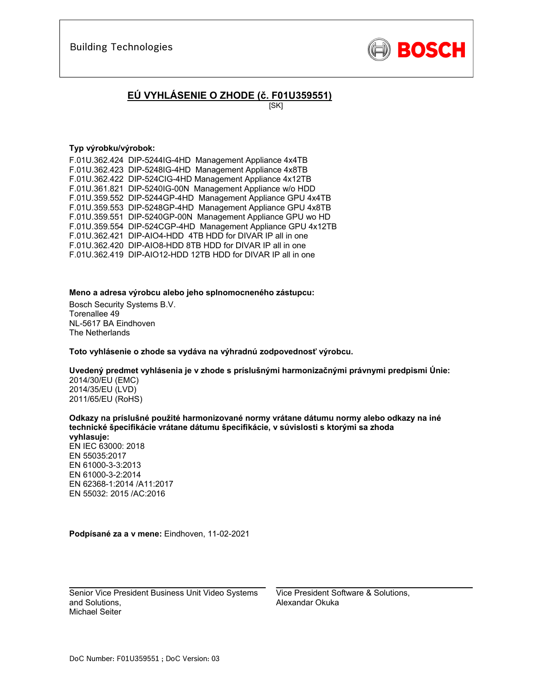

# **EÚ VYHLÁSENIE O ZHODE (č. F01U359551)**

[SK]

#### **Typ výrobku/výrobok:**

F.01U.362.424 DIP-5244IG-4HD Management Appliance 4x4TB F.01U.362.423 DIP-5248IG-4HD Management Appliance 4x8TB F.01U.362.422 DIP-524CIG-4HD Management Appliance 4x12TB F.01U.361.821 DIP-5240IG-00N Management Appliance w/o HDD F.01U.359.552 DIP-5244GP-4HD Management Appliance GPU 4x4TB F.01U.359.553 DIP-5248GP-4HD Management Appliance GPU 4x8TB F.01U.359.551 DIP-5240GP-00N Management Appliance GPU wo HD F.01U.359.554 DIP-524CGP-4HD Management Appliance GPU 4x12TB F.01U.362.421 DIP-AIO4-HDD 4TB HDD for DIVAR IP all in one F.01U.362.420 DIP-AIO8-HDD 8TB HDD for DIVAR IP all in one F.01U.362.419 DIP-AIO12-HDD 12TB HDD for DIVAR IP all in one

#### **Meno a adresa výrobcu alebo jeho splnomocneného zástupcu:**

Bosch Security Systems B.V. Torenallee 49 NL-5617 BA Eindhoven The Netherlands

**Toto vyhlásenie o zhode sa vydáva na výhradnú zodpovednosť výrobcu.** 

#### **Uvedený predmet vyhlásenia je v zhode s príslušnými harmonizačnými právnymi predpismi Únie:**

2014/30/EU (EMC) 2014/35/EU (LVD) 2011/65/EU (RoHS)

**Odkazy na príslušné použité harmonizované normy vrátane dátumu normy alebo odkazy na iné technické špecifikácie vrátane dátumu špecifikácie, v súvislosti s ktorými sa zhoda vyhlasuje:** 

EN IEC 63000: 2018 EN 55035:2017 EN 61000-3-3:2013 EN 61000-3-2:2014 EN 62368-1:2014 /A11:2017 EN 55032: 2015 /AC:2016

**Podpísané za a v mene:** Eindhoven, 11-02-2021

\_\_\_\_\_\_\_\_\_\_\_\_\_\_\_\_\_\_\_\_\_\_\_\_\_\_\_\_\_\_\_\_\_\_\_\_\_\_\_\_\_\_\_ Senior Vice President Business Unit Video Systems and Solutions, Michael Seiter

Vice President Software & Solutions, Alexandar Okuka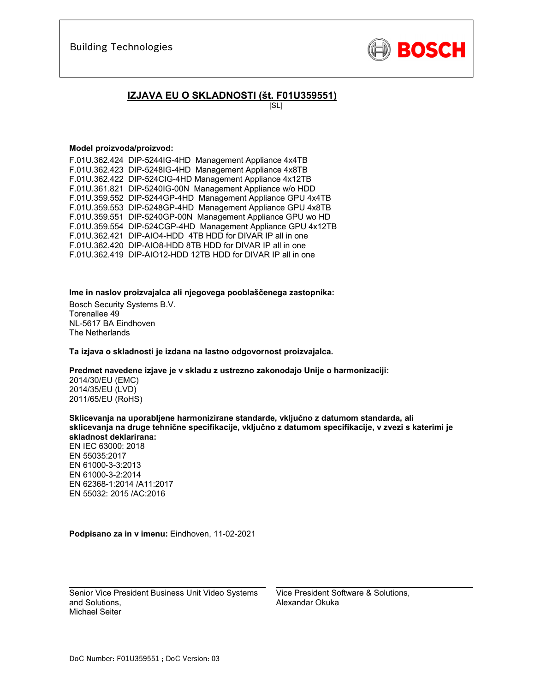

## **IZJAVA EU O SKLADNOSTI (št. F01U359551)**

[SL]

#### **Model proizvoda/proizvod:**

F.01U.362.424 DIP-5244IG-4HD Management Appliance 4x4TB F.01U.362.423 DIP-5248IG-4HD Management Appliance 4x8TB F.01U.362.422 DIP-524CIG-4HD Management Appliance 4x12TB F.01U.361.821 DIP-5240IG-00N Management Appliance w/o HDD F.01U.359.552 DIP-5244GP-4HD Management Appliance GPU 4x4TB F.01U.359.553 DIP-5248GP-4HD Management Appliance GPU 4x8TB F.01U.359.551 DIP-5240GP-00N Management Appliance GPU wo HD F.01U.359.554 DIP-524CGP-4HD Management Appliance GPU 4x12TB F.01U.362.421 DIP-AIO4-HDD 4TB HDD for DIVAR IP all in one F.01U.362.420 DIP-AIO8-HDD 8TB HDD for DIVAR IP all in one F.01U.362.419 DIP-AIO12-HDD 12TB HDD for DIVAR IP all in one

**Ime in naslov proizvajalca ali njegovega pooblaščenega zastopnika:** 

Bosch Security Systems B.V. Torenallee 49 NL-5617 BA Eindhoven The Netherlands

**Ta izjava o skladnosti je izdana na lastno odgovornost proizvajalca.** 

**Predmet navedene izjave je v skladu z ustrezno zakonodajo Unije o harmonizaciji:**

2014/30/EU (EMC) 2014/35/EU (LVD) 2011/65/EU (RoHS)

**Sklicevanja na uporabljene harmonizirane standarde, vključno z datumom standarda, ali sklicevanja na druge tehnične specifikacije, vključno z datumom specifikacije, v zvezi s katerimi je skladnost deklarirana:** 

EN IEC 63000: 2018 EN 55035:2017 EN 61000-3-3:2013 EN 61000-3-2:2014 EN 62368-1:2014 /A11:2017 EN 55032: 2015 /AC:2016

**Podpisano za in v imenu:** Eindhoven, 11-02-2021

 $\mathcal{L}_\text{max}$  and  $\mathcal{L}_\text{max}$  and  $\mathcal{L}_\text{max}$  and  $\mathcal{L}_\text{max}$ Senior Vice President Business Unit Video Systems and Solutions, Michael Seiter

Vice President Software & Solutions, Alexandar Okuka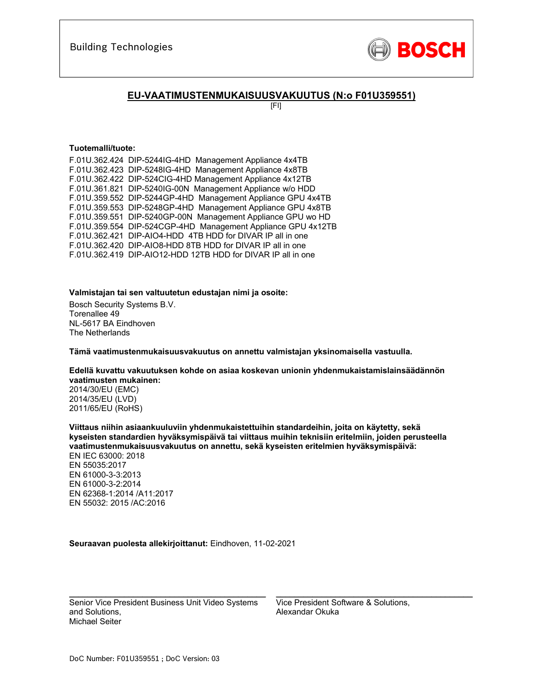

### **EU-VAATIMUSTENMUKAISUUSVAKUUTUS (N:o F01U359551)**

[FI]

#### **Tuotemalli/tuote:**

| F.01U.362.424 DIP-5244IG-4HD Management Appliance 4x4TB      |
|--------------------------------------------------------------|
| F.01U.362.423 DIP-5248IG-4HD Management Appliance 4x8TB      |
| F.01U.362.422 DIP-524CIG-4HD Management Appliance 4x12TB     |
| F.01U.361.821 DIP-5240IG-00N Management Appliance w/o HDD    |
| F.01U.359.552 DIP-5244GP-4HD Management Appliance GPU 4x4TB  |
| F.01U.359.553 DIP-5248GP-4HD Management Appliance GPU 4x8TB  |
| F.01U.359.551 DIP-5240GP-00N Management Appliance GPU wo HD  |
| F.01U.359.554 DIP-524CGP-4HD Management Appliance GPU 4x12TB |
| F.01U.362.421 DIP-AIO4-HDD 4TB HDD for DIVAR IP all in one   |
| F.01U.362.420 DIP-AIO8-HDD 8TB HDD for DIVAR IP all in one   |
| F.01U.362.419 DIP-AIO12-HDD 12TB HDD for DIVAR IP all in one |
|                                                              |

#### **Valmistajan tai sen valtuutetun edustajan nimi ja osoite:**

Bosch Security Systems B.V. Torenallee 49 NL-5617 BA Eindhoven The Netherlands

**Tämä vaatimustenmukaisuusvakuutus on annettu valmistajan yksinomaisella vastuulla.** 

#### **Edellä kuvattu vakuutuksen kohde on asiaa koskevan unionin yhdenmukaistamislainsäädännön vaatimusten mukainen:**

2014/30/EU (EMC) 2014/35/EU (LVD) 2011/65/EU (RoHS)

**Viittaus niihin asiaankuuluviin yhdenmukaistettuihin standardeihin, joita on käytetty, sekä kyseisten standardien hyväksymispäivä tai viittaus muihin teknisiin eritelmiin, joiden perusteella vaatimustenmukaisuusvakuutus on annettu, sekä kyseisten eritelmien hyväksymispäivä:**  EN IEC 63000: 2018

EN 55035:2017 EN 61000-3-3:2013 EN 61000-3-2:2014 EN 62368-1:2014 /A11:2017 EN 55032: 2015 /AC:2016

#### **Seuraavan puolesta allekirjoittanut:** Eindhoven, 11-02-2021

Senior Vice President Business Unit Video Systems and Solutions, Michael Seiter

 $\mathcal{L}_\text{max}$  and  $\mathcal{L}_\text{max}$  and  $\mathcal{L}_\text{max}$  and  $\mathcal{L}_\text{max}$  and  $\mathcal{L}_\text{max}$ 

Vice President Software & Solutions, Alexandar Okuka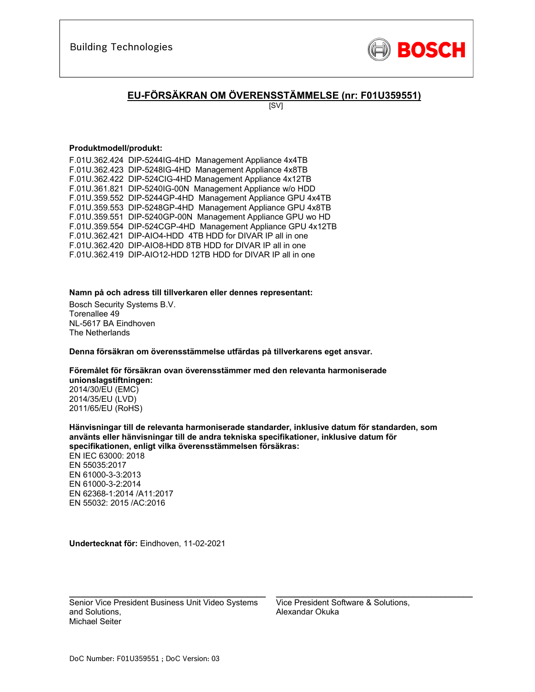

# **EU-FÖRSÄKRAN OM ÖVERENSSTÄMMELSE (nr: F01U359551)**

[SV]

#### **Produktmodell/produkt:**

F.01U.362.424 DIP-5244IG-4HD Management Appliance 4x4TB F.01U.362.423 DIP-5248IG-4HD Management Appliance 4x8TB F.01U.362.422 DIP-524CIG-4HD Management Appliance 4x12TB F.01U.361.821 DIP-5240IG-00N Management Appliance w/o HDD F.01U.359.552 DIP-5244GP-4HD Management Appliance GPU 4x4TB F.01U.359.553 DIP-5248GP-4HD Management Appliance GPU 4x8TB F.01U.359.551 DIP-5240GP-00N Management Appliance GPU wo HD F.01U.359.554 DIP-524CGP-4HD Management Appliance GPU 4x12TB F.01U.362.421 DIP-AIO4-HDD 4TB HDD for DIVAR IP all in one F.01U.362.420 DIP-AIO8-HDD 8TB HDD for DIVAR IP all in one F.01U.362.419 DIP-AIO12-HDD 12TB HDD for DIVAR IP all in one

#### **Namn på och adress till tillverkaren eller dennes representant:**

Bosch Security Systems B.V. Torenallee 49 NL-5617 BA Eindhoven The Netherlands

**Denna försäkran om överensstämmelse utfärdas på tillverkarens eget ansvar.** 

#### **Föremålet för försäkran ovan överensstämmer med den relevanta harmoniserade unionslagstiftningen:**

2014/30/EU (EMC) 2014/35/EU (LVD) 2011/65/EU (RoHS)

**Hänvisningar till de relevanta harmoniserade standarder, inklusive datum för standarden, som använts eller hänvisningar till de andra tekniska specifikationer, inklusive datum för specifikationen, enligt vilka överensstämmelsen försäkras:**  EN IEC 63000: 2018 EN 55035:2017

EN 61000-3-3:2013 EN 61000-3-2:2014 EN 62368-1:2014 /A11:2017 EN 55032: 2015 /AC:2016

**Undertecknat för:** Eindhoven, 11-02-2021

Senior Vice President Business Unit Video Systems and Solutions, Michael Seiter

\_\_\_\_\_\_\_\_\_\_\_\_\_\_\_\_\_\_\_\_\_\_\_\_\_\_\_\_\_\_\_\_\_\_\_\_\_\_\_\_\_\_\_

Vice President Software & Solutions, Alexandar Okuka